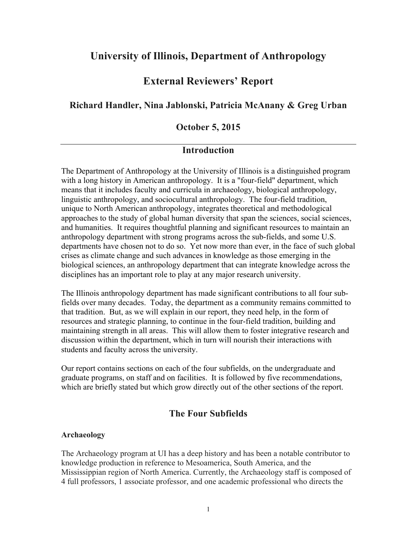# **University of Illinois, Department of Anthropology**

## **External Reviewers' Report**

## **Richard Handler, Nina Jablonski, Patricia McAnany & Greg Urban**

### **October 5, 2015**

## **Introduction**

The Department of Anthropology at the University of Illinois is a distinguished program with a long history in American anthropology. It is a "four-field" department, which means that it includes faculty and curricula in archaeology, biological anthropology, linguistic anthropology, and sociocultural anthropology. The four-field tradition, unique to North American anthropology, integrates theoretical and methodological approaches to the study of global human diversity that span the sciences, social sciences, and humanities. It requires thoughtful planning and significant resources to maintain an anthropology department with strong programs across the sub-fields, and some U.S. departments have chosen not to do so. Yet now more than ever, in the face of such global crises as climate change and such advances in knowledge as those emerging in the biological sciences, an anthropology department that can integrate knowledge across the disciplines has an important role to play at any major research university.

The Illinois anthropology department has made significant contributions to all four subfields over many decades. Today, the department as a community remains committed to that tradition. But, as we will explain in our report, they need help, in the form of resources and strategic planning, to continue in the four-field tradition, building and maintaining strength in all areas. This will allow them to foster integrative research and discussion within the department, which in turn will nourish their interactions with students and faculty across the university.

Our report contains sections on each of the four subfields, on the undergraduate and graduate programs, on staff and on facilities. It is followed by five recommendations, which are briefly stated but which grow directly out of the other sections of the report.

## **The Four Subfields**

#### **Archaeology**

The Archaeology program at UI has a deep history and has been a notable contributor to knowledge production in reference to Mesoamerica, South America, and the Mississippian region of North America. Currently, the Archaeology staff is composed of 4 full professors, 1 associate professor, and one academic professional who directs the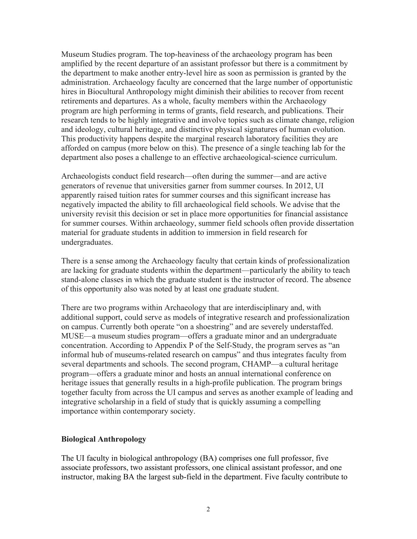Museum Studies program. The top-heaviness of the archaeology program has been amplified by the recent departure of an assistant professor but there is a commitment by the department to make another entry-level hire as soon as permission is granted by the administration. Archaeology faculty are concerned that the large number of opportunistic hires in Biocultural Anthropology might diminish their abilities to recover from recent retirements and departures. As a whole, faculty members within the Archaeology program are high performing in terms of grants, field research, and publications. Their research tends to be highly integrative and involve topics such as climate change, religion and ideology, cultural heritage, and distinctive physical signatures of human evolution. This productivity happens despite the marginal research laboratory facilities they are afforded on campus (more below on this). The presence of a single teaching lab for the department also poses a challenge to an effective archaeological-science curriculum.

Archaeologists conduct field research—often during the summer—and are active generators of revenue that universities garner from summer courses. In 2012, UI apparently raised tuition rates for summer courses and this significant increase has negatively impacted the ability to fill archaeological field schools. We advise that the university revisit this decision or set in place more opportunities for financial assistance for summer courses. Within archaeology, summer field schools often provide dissertation material for graduate students in addition to immersion in field research for undergraduates.

There is a sense among the Archaeology faculty that certain kinds of professionalization are lacking for graduate students within the department—particularly the ability to teach stand-alone classes in which the graduate student is the instructor of record. The absence of this opportunity also was noted by at least one graduate student.

There are two programs within Archaeology that are interdisciplinary and, with additional support, could serve as models of integrative research and professionalization on campus. Currently both operate "on a shoestring" and are severely understaffed. MUSE—a museum studies program—offers a graduate minor and an undergraduate concentration. According to Appendix P of the Self-Study, the program serves as "an informal hub of museums-related research on campus" and thus integrates faculty from several departments and schools. The second program, CHAMP—a cultural heritage program—offers a graduate minor and hosts an annual international conference on heritage issues that generally results in a high-profile publication. The program brings together faculty from across the UI campus and serves as another example of leading and integrative scholarship in a field of study that is quickly assuming a compelling importance within contemporary society.

#### **Biological Anthropology**

The UI faculty in biological anthropology (BA) comprises one full professor, five associate professors, two assistant professors, one clinical assistant professor, and one instructor, making BA the largest sub-field in the department. Five faculty contribute to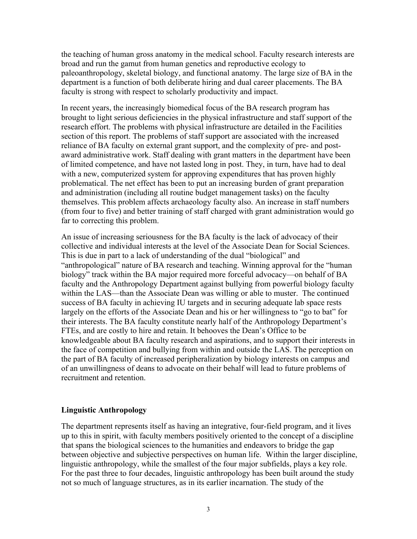the teaching of human gross anatomy in the medical school. Faculty research interests are broad and run the gamut from human genetics and reproductive ecology to paleoanthropology, skeletal biology, and functional anatomy. The large size of BA in the department is a function of both deliberate hiring and dual career placements. The BA faculty is strong with respect to scholarly productivity and impact.

In recent years, the increasingly biomedical focus of the BA research program has brought to light serious deficiencies in the physical infrastructure and staff support of the research effort. The problems with physical infrastructure are detailed in the Facilities section of this report. The problems of staff support are associated with the increased reliance of BA faculty on external grant support, and the complexity of pre- and postaward administrative work. Staff dealing with grant matters in the department have been of limited competence, and have not lasted long in post. They, in turn, have had to deal with a new, computerized system for approving expenditures that has proven highly problematical. The net effect has been to put an increasing burden of grant preparation and administration (including all routine budget management tasks) on the faculty themselves. This problem affects archaeology faculty also. An increase in staff numbers (from four to five) and better training of staff charged with grant administration would go far to correcting this problem.

An issue of increasing seriousness for the BA faculty is the lack of advocacy of their collective and individual interests at the level of the Associate Dean for Social Sciences. This is due in part to a lack of understanding of the dual "biological" and "anthropological" nature of BA research and teaching. Winning approval for the "human biology" track within the BA major required more forceful advocacy—on behalf of BA faculty and the Anthropology Department against bullying from powerful biology faculty within the LAS—than the Associate Dean was willing or able to muster. The continued success of BA faculty in achieving IU targets and in securing adequate lab space rests largely on the efforts of the Associate Dean and his or her willingness to "go to bat" for their interests. The BA faculty constitute nearly half of the Anthropology Department's FTEs, and are costly to hire and retain. It behooves the Dean's Office to be knowledgeable about BA faculty research and aspirations, and to support their interests in the face of competition and bullying from within and outside the LAS. The perception on the part of BA faculty of increased peripheralization by biology interests on campus and of an unwillingness of deans to advocate on their behalf will lead to future problems of recruitment and retention.

#### **Linguistic Anthropology**

The department represents itself as having an integrative, four-field program, and it lives up to this in spirit, with faculty members positively oriented to the concept of a discipline that spans the biological sciences to the humanities and endeavors to bridge the gap between objective and subjective perspectives on human life. Within the larger discipline, linguistic anthropology, while the smallest of the four major subfields, plays a key role. For the past three to four decades, linguistic anthropology has been built around the study not so much of language structures, as in its earlier incarnation. The study of the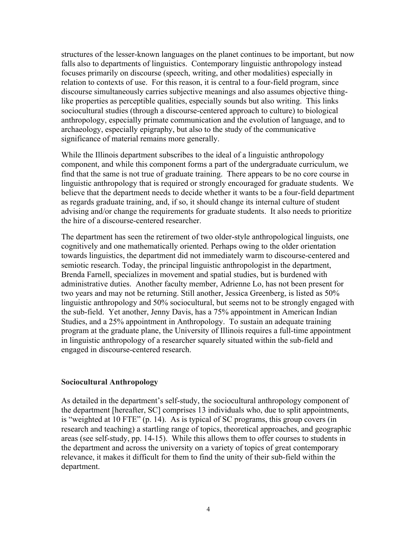structures of the lesser-known languages on the planet continues to be important, but now falls also to departments of linguistics. Contemporary linguistic anthropology instead focuses primarily on discourse (speech, writing, and other modalities) especially in relation to contexts of use. For this reason, it is central to a four-field program, since discourse simultaneously carries subjective meanings and also assumes objective thinglike properties as perceptible qualities, especially sounds but also writing. This links sociocultural studies (through a discourse-centered approach to culture) to biological anthropology, especially primate communication and the evolution of language, and to archaeology, especially epigraphy, but also to the study of the communicative significance of material remains more generally.

While the Illinois department subscribes to the ideal of a linguistic anthropology component, and while this component forms a part of the undergraduate curriculum, we find that the same is not true of graduate training. There appears to be no core course in linguistic anthropology that is required or strongly encouraged for graduate students. We believe that the department needs to decide whether it wants to be a four-field department as regards graduate training, and, if so, it should change its internal culture of student advising and/or change the requirements for graduate students. It also needs to prioritize the hire of a discourse-centered researcher.

The department has seen the retirement of two older-style anthropological linguists, one cognitively and one mathematically oriented. Perhaps owing to the older orientation towards linguistics, the department did not immediately warm to discourse-centered and semiotic research. Today, the principal linguistic anthropologist in the department, Brenda Farnell, specializes in movement and spatial studies, but is burdened with administrative duties. Another faculty member, Adrienne Lo, has not been present for two years and may not be returning. Still another, Jessica Greenberg, is listed as 50% linguistic anthropology and 50% sociocultural, but seems not to be strongly engaged with the sub-field. Yet another, Jenny Davis, has a 75% appointment in American Indian Studies, and a 25% appointment in Anthropology. To sustain an adequate training program at the graduate plane, the University of Illinois requires a full-time appointment in linguistic anthropology of a researcher squarely situated within the sub-field and engaged in discourse-centered research.

#### **Sociocultural Anthropology**

As detailed in the department's self-study, the sociocultural anthropology component of the department [hereafter, SC] comprises 13 individuals who, due to split appointments, is "weighted at 10 FTE" (p. 14). As is typical of SC programs, this group covers (in research and teaching) a startling range of topics, theoretical approaches, and geographic areas (see self-study, pp. 14-15). While this allows them to offer courses to students in the department and across the university on a variety of topics of great contemporary relevance, it makes it difficult for them to find the unity of their sub-field within the department.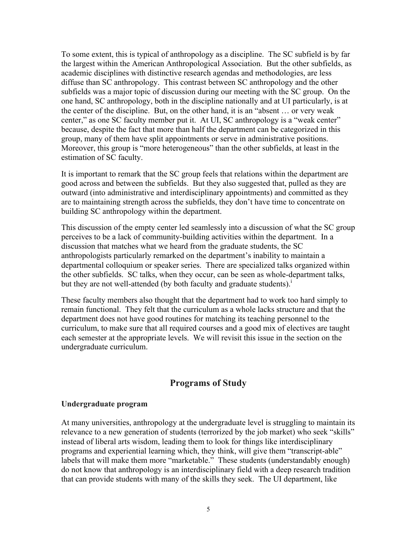To some extent, this is typical of anthropology as a discipline. The SC subfield is by far the largest within the American Anthropological Association. But the other subfields, as academic disciplines with distinctive research agendas and methodologies, are less diffuse than SC anthropology. This contrast between SC anthropology and the other subfields was a major topic of discussion during our meeting with the SC group. On the one hand, SC anthropology, both in the discipline nationally and at UI particularly, is at the center of the discipline. But, on the other hand, it is an "absent … or very weak center," as one SC faculty member put it. At UI, SC anthropology is a "weak center" because, despite the fact that more than half the department can be categorized in this group, many of them have split appointments or serve in administrative positions. Moreover, this group is "more heterogeneous" than the other subfields, at least in the estimation of SC faculty.

It is important to remark that the SC group feels that relations within the department are good across and between the subfields. But they also suggested that, pulled as they are outward (into administrative and interdisciplinary appointments) and committed as they are to maintaining strength across the subfields, they don't have time to concentrate on building SC anthropology within the department.

This discussion of the empty center led seamlessly into a discussion of what the SC group perceives to be a lack of community-building activities within the department. In a discussion that matches what we heard from the graduate students, the SC anthropologists particularly remarked on the department's inability to maintain a departmental colloquium or speaker series. There are specialized talks organized within the other subfields. SC talks, when they occur, can be seen as whole-department talks, but they are not well-attended (by both faculty and graduate students). $\frac{1}{1}$ 

These faculty members also thought that the department had to work too hard simply to remain functional. They felt that the curriculum as a whole lacks structure and that the department does not have good routines for matching its teaching personnel to the curriculum, to make sure that all required courses and a good mix of electives are taught each semester at the appropriate levels. We will revisit this issue in the section on the undergraduate curriculum.

## **Programs of Study**

#### **Undergraduate program**

At many universities, anthropology at the undergraduate level is struggling to maintain its relevance to a new generation of students (terrorized by the job market) who seek "skills" instead of liberal arts wisdom, leading them to look for things like interdisciplinary programs and experiential learning which, they think, will give them "transcript-able" labels that will make them more "marketable." These students (understandably enough) do not know that anthropology is an interdisciplinary field with a deep research tradition that can provide students with many of the skills they seek. The UI department, like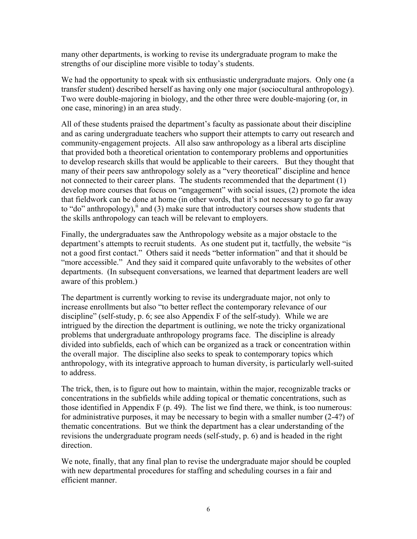many other departments, is working to revise its undergraduate program to make the strengths of our discipline more visible to today's students.

We had the opportunity to speak with six enthusiastic undergraduate majors. Only one (a transfer student) described herself as having only one major (sociocultural anthropology). Two were double-majoring in biology, and the other three were double-majoring (or, in one case, minoring) in an area study.

All of these students praised the department's faculty as passionate about their discipline and as caring undergraduate teachers who support their attempts to carry out research and community-engagement projects. All also saw anthropology as a liberal arts discipline that provided both a theoretical orientation to contemporary problems and opportunities to develop research skills that would be applicable to their careers. But they thought that many of their peers saw anthropology solely as a "very theoretical" discipline and hence not connected to their career plans. The students recommended that the department (1) develop more courses that focus on "engagement" with social issues, (2) promote the idea that fieldwork can be done at home (in other words, that it's not necessary to go far away to "do" anthropology), $\frac{1}{n}$  and (3) make sure that introductory courses show students that the skills anthropology can teach will be relevant to employers.

Finally, the undergraduates saw the Anthropology website as a major obstacle to the department's attempts to recruit students. As one student put it, tactfully, the website "is not a good first contact." Others said it needs "better information" and that it should be "more accessible." And they said it compared quite unfavorably to the websites of other departments. (In subsequent conversations, we learned that department leaders are well aware of this problem.)

The department is currently working to revise its undergraduate major, not only to increase enrollments but also "to better reflect the contemporary relevance of our discipline" (self-study, p. 6; see also Appendix F of the self-study). While we are intrigued by the direction the department is outlining, we note the tricky organizational problems that undergraduate anthropology programs face. The discipline is already divided into subfields, each of which can be organized as a track or concentration within the overall major. The discipline also seeks to speak to contemporary topics which anthropology, with its integrative approach to human diversity, is particularly well-suited to address.

The trick, then, is to figure out how to maintain, within the major, recognizable tracks or concentrations in the subfields while adding topical or thematic concentrations, such as those identified in Appendix F (p. 49). The list we find there, we think, is too numerous: for administrative purposes, it may be necessary to begin with a smaller number (2-4?) of thematic concentrations. But we think the department has a clear understanding of the revisions the undergraduate program needs (self-study, p. 6) and is headed in the right direction.

We note, finally, that any final plan to revise the undergraduate major should be coupled with new departmental procedures for staffing and scheduling courses in a fair and efficient manner.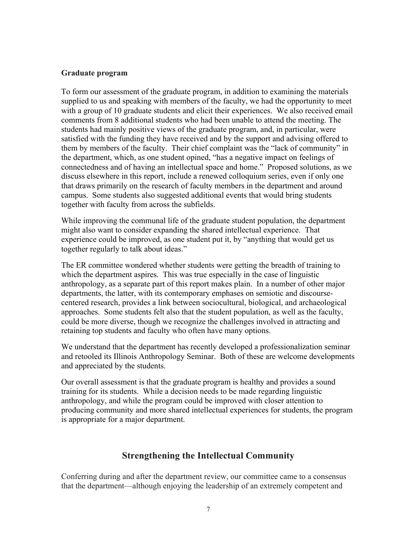#### **Graduate program**

To form our assessment of the graduate program, in addition to examining the materials supplied to us and speaking with members of the faculty, we had the opportunity to meet with a group of 10 graduate students and elicit their experiences. We also received email comments from 8 additional students who had been unable to attend the meeting. The students had mainly positive views of the graduate program, and, in particular, were satisfied with the funding they have received and by the support and advising offered to them by members of the faculty. Their chief complaint was the "lack of community" in the department, which, as one student opined, "has a negative impact on feelings of connectedness and of having an intellectual space and home." Proposed solutions, as we discuss elsewhere in this report, include a renewed colloquium series, even if only one that draws primarily on the research of faculty members in the department and around campus. Some students also suggested additional events that would bring students together with faculty from across the subfields.

While improving the communal life of the graduate student population, the department might also want to consider expanding the shared intellectual experience. That experience could be improved, as one student put it, by "anything that would get us together regularly to talk about ideas."

The ER committee wondered whether students were getting the breadth of training to which the department aspires. This was true especially in the case of linguistic anthropology, as a separate part of this report makes plain. In a number of other major departments, the latter, with its contemporary emphases on semiotic and discoursecentered research, provides a link between sociocultural, biological, and archaeological approaches. Some students felt also that the student population, as well as the faculty, could be more diverse, though we recognize the challenges involved in attracting and retaining top students and faculty who often have many options.

We understand that the department has recently developed a professionalization seminar and retooled its Illinois Anthropology Seminar. Both of these are welcome developments and appreciated by the students.

Our overall assessment is that the graduate program is healthy and provides a sound training for its students. While a decision needs to be made regarding linguistic anthropology, and while the program could be improved with closer attention to producing community and more shared intellectual experiences for students, the program is appropriate for a major department.

## **Strengthening the Intellectual Community**

Conferring during and after the department review, our committee came to a consensus that the department—although enjoying the leadership of an extremely competent and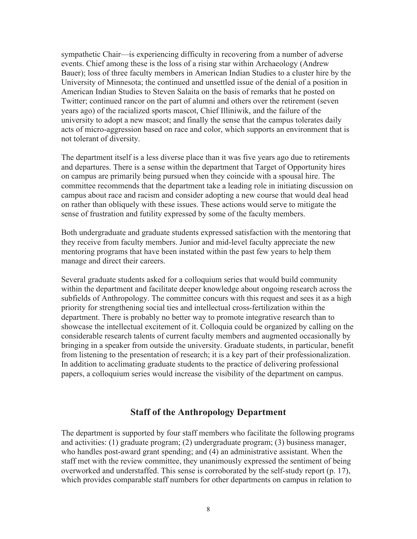sympathetic Chair—is experiencing difficulty in recovering from a number of adverse events. Chief among these is the loss of a rising star within Archaeology (Andrew Bauer); loss of three faculty members in American Indian Studies to a cluster hire by the University of Minnesota; the continued and unsettled issue of the denial of a position in American Indian Studies to Steven Salaita on the basis of remarks that he posted on Twitter; continued rancor on the part of alumni and others over the retirement (seven years ago) of the racialized sports mascot, Chief Illiniwik, and the failure of the university to adopt a new mascot; and finally the sense that the campus tolerates daily acts of micro-aggression based on race and color, which supports an environment that is not tolerant of diversity.

The department itself is a less diverse place than it was five years ago due to retirements and departures. There is a sense within the department that Target of Opportunity hires on campus are primarily being pursued when they coincide with a spousal hire. The committee recommends that the department take a leading role in initiating discussion on campus about race and racism and consider adopting a new course that would deal head on rather than obliquely with these issues. These actions would serve to mitigate the sense of frustration and futility expressed by some of the faculty members.

Both undergraduate and graduate students expressed satisfaction with the mentoring that they receive from faculty members. Junior and mid-level faculty appreciate the new mentoring programs that have been instated within the past few years to help them manage and direct their careers.

Several graduate students asked for a colloquium series that would build community within the department and facilitate deeper knowledge about ongoing research across the subfields of Anthropology. The committee concurs with this request and sees it as a high priority for strengthening social ties and intellectual cross-fertilization within the department. There is probably no better way to promote integrative research than to showcase the intellectual excitement of it. Colloquia could be organized by calling on the considerable research talents of current faculty members and augmented occasionally by bringing in a speaker from outside the university. Graduate students, in particular, benefit from listening to the presentation of research; it is a key part of their professionalization. In addition to acclimating graduate students to the practice of delivering professional papers, a colloquium series would increase the visibility of the department on campus.

## **Staff of the Anthropology Department**

The department is supported by four staff members who facilitate the following programs and activities: (1) graduate program; (2) undergraduate program; (3) business manager, who handles post-award grant spending; and (4) an administrative assistant. When the staff met with the review committee, they unanimously expressed the sentiment of being overworked and understaffed. This sense is corroborated by the self-study report (p. 17), which provides comparable staff numbers for other departments on campus in relation to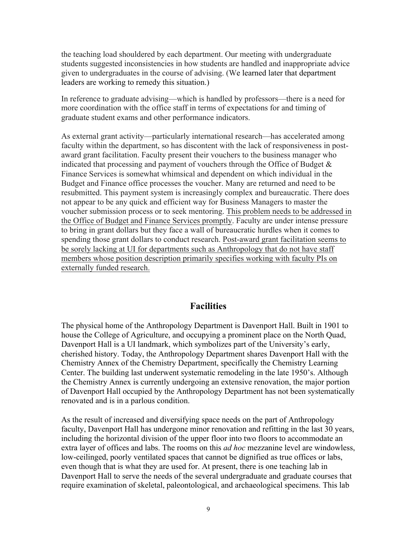the teaching load shouldered by each department. Our meeting with undergraduate students suggested inconsistencies in how students are handled and inappropriate advice given to undergraduates in the course of advising. (We learned later that department leaders are working to remedy this situation.)

In reference to graduate advising—which is handled by professors—there is a need for more coordination with the office staff in terms of expectations for and timing of graduate student exams and other performance indicators.

As external grant activity—particularly international research—has accelerated among faculty within the department, so has discontent with the lack of responsiveness in postaward grant facilitation. Faculty present their vouchers to the business manager who indicated that processing and payment of vouchers through the Office of Budget & Finance Services is somewhat whimsical and dependent on which individual in the Budget and Finance office processes the voucher. Many are returned and need to be resubmitted. This payment system is increasingly complex and bureaucratic. There does not appear to be any quick and efficient way for Business Managers to master the voucher submission process or to seek mentoring. This problem needs to be addressed in the Office of Budget and Finance Services promptly. Faculty are under intense pressure to bring in grant dollars but they face a wall of bureaucratic hurdles when it comes to spending those grant dollars to conduct research. Post-award grant facilitation seems to be sorely lacking at UI for departments such as Anthropology that do not have staff members whose position description primarily specifies working with faculty PIs on externally funded research.

## **Facilities**

The physical home of the Anthropology Department is Davenport Hall. Built in 1901 to house the College of Agriculture, and occupying a prominent place on the North Quad, Davenport Hall is a UI landmark, which symbolizes part of the University's early, cherished history. Today, the Anthropology Department shares Davenport Hall with the Chemistry Annex of the Chemistry Department, specifically the Chemistry Learning Center. The building last underwent systematic remodeling in the late 1950's. Although the Chemistry Annex is currently undergoing an extensive renovation, the major portion of Davenport Hall occupied by the Anthropology Department has not been systematically renovated and is in a parlous condition.

As the result of increased and diversifying space needs on the part of Anthropology faculty, Davenport Hall has undergone minor renovation and refitting in the last 30 years, including the horizontal division of the upper floor into two floors to accommodate an extra layer of offices and labs. The rooms on this *ad hoc* mezzanine level are windowless, low-ceilinged, poorly ventilated spaces that cannot be dignified as true offices or labs, even though that is what they are used for. At present, there is one teaching lab in Davenport Hall to serve the needs of the several undergraduate and graduate courses that require examination of skeletal, paleontological, and archaeological specimens. This lab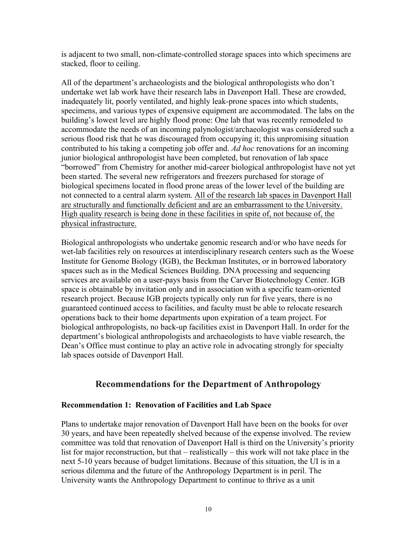is adjacent to two small, non-climate-controlled storage spaces into which specimens are stacked, floor to ceiling.

All of the department's archaeologists and the biological anthropologists who don't undertake wet lab work have their research labs in Davenport Hall. These are crowded, inadequately lit, poorly ventilated, and highly leak-prone spaces into which students, specimens, and various types of expensive equipment are accommodated. The labs on the building's lowest level are highly flood prone: One lab that was recently remodeled to accommodate the needs of an incoming palynologist/archaeologist was considered such a serious flood risk that he was discouraged from occupying it; this unpromising situation contributed to his taking a competing job offer and. *Ad hoc* renovations for an incoming junior biological anthropologist have been completed, but renovation of lab space "borrowed" from Chemistry for another mid-career biological anthropologist have not yet been started. The several new refrigerators and freezers purchased for storage of biological specimens located in flood prone areas of the lower level of the building are not connected to a central alarm system. All of the research lab spaces in Davenport Hall are structurally and functionally deficient and are an embarrassment to the University. High quality research is being done in these facilities in spite of, not because of, the physical infrastructure.

Biological anthropologists who undertake genomic research and/or who have needs for wet-lab facilities rely on resources at interdisciplinary research centers such as the Woese Institute for Genome Biology (IGB), the Beckman Institutes, or in borrowed laboratory spaces such as in the Medical Sciences Building. DNA processing and sequencing services are available on a user-pays basis from the Carver Biotechnology Center. IGB space is obtainable by invitation only and in association with a specific team-oriented research project. Because IGB projects typically only run for five years, there is no guaranteed continued access to facilities, and faculty must be able to relocate research operations back to their home departments upon expiration of a team project. For biological anthropologists, no back-up facilities exist in Davenport Hall. In order for the department's biological anthropologists and archaeologists to have viable research, the Dean's Office must continue to play an active role in advocating strongly for specialty lab spaces outside of Davenport Hall.

## **Recommendations for the Department of Anthropology**

## **Recommendation 1: Renovation of Facilities and Lab Space**

Plans to undertake major renovation of Davenport Hall have been on the books for over 30 years, and have been repeatedly shelved because of the expense involved. The review committee was told that renovation of Davenport Hall is third on the University's priority list for major reconstruction, but that – realistically – this work will not take place in the next 5-10 years because of budget limitations. Because of this situation, the UI is in a serious dilemma and the future of the Anthropology Department is in peril. The University wants the Anthropology Department to continue to thrive as a unit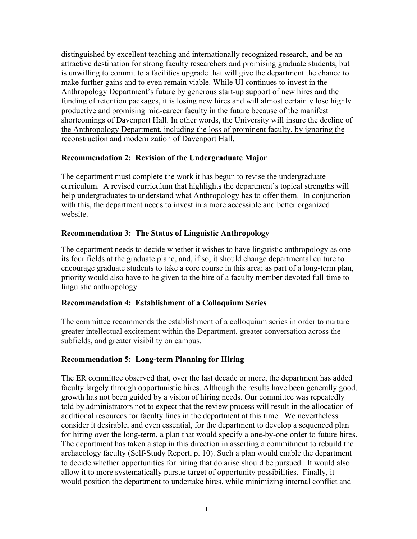distinguished by excellent teaching and internationally recognized research, and be an attractive destination for strong faculty researchers and promising graduate students, but is unwilling to commit to a facilities upgrade that will give the department the chance to make further gains and to even remain viable. While UI continues to invest in the Anthropology Department's future by generous start-up support of new hires and the funding of retention packages, it is losing new hires and will almost certainly lose highly productive and promising mid-career faculty in the future because of the manifest shortcomings of Davenport Hall. In other words, the University will insure the decline of the Anthropology Department, including the loss of prominent faculty, by ignoring the reconstruction and modernization of Davenport Hall.

## **Recommendation 2: Revision of the Undergraduate Major**

The department must complete the work it has begun to revise the undergraduate curriculum. A revised curriculum that highlights the department's topical strengths will help undergraduates to understand what Anthropology has to offer them. In conjunction with this, the department needs to invest in a more accessible and better organized website.

## **Recommendation 3: The Status of Linguistic Anthropology**

The department needs to decide whether it wishes to have linguistic anthropology as one its four fields at the graduate plane, and, if so, it should change departmental culture to encourage graduate students to take a core course in this area; as part of a long-term plan, priority would also have to be given to the hire of a faculty member devoted full-time to linguistic anthropology.

## **Recommendation 4: Establishment of a Colloquium Series**

The committee recommends the establishment of a colloquium series in order to nurture greater intellectual excitement within the Department, greater conversation across the subfields, and greater visibility on campus.

## **Recommendation 5: Long-term Planning for Hiring**

The ER committee observed that, over the last decade or more, the department has added faculty largely through opportunistic hires. Although the results have been generally good, growth has not been guided by a vision of hiring needs. Our committee was repeatedly told by administrators not to expect that the review process will result in the allocation of additional resources for faculty lines in the department at this time. We nevertheless consider it desirable, and even essential, for the department to develop a sequenced plan for hiring over the long-term, a plan that would specify a one-by-one order to future hires. The department has taken a step in this direction in asserting a commitment to rebuild the archaeology faculty (Self-Study Report, p. 10). Such a plan would enable the department to decide whether opportunities for hiring that do arise should be pursued. It would also allow it to more systematically pursue target of opportunity possibilities. Finally, it would position the department to undertake hires, while minimizing internal conflict and